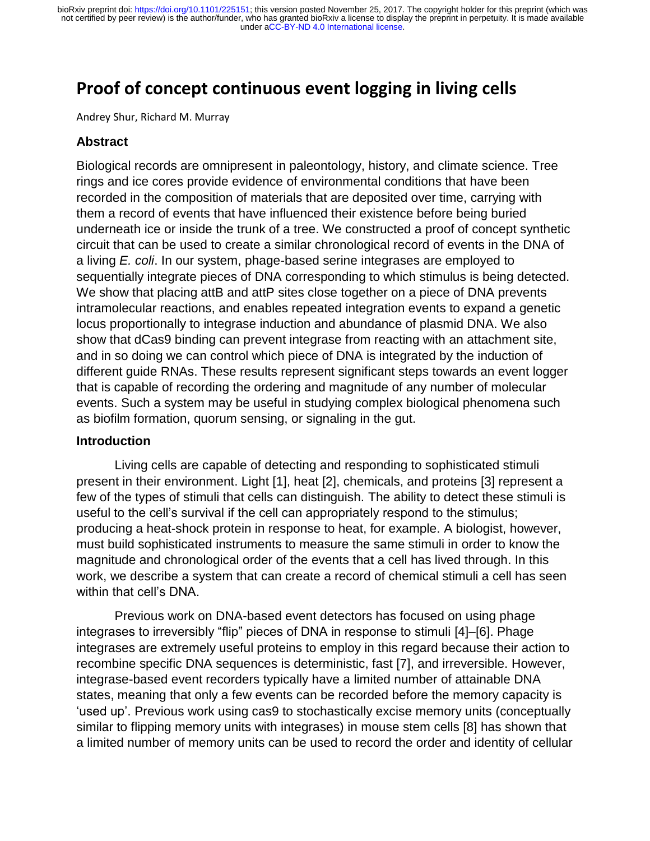# **Proof of concept continuous event logging in living cells**

Andrey Shur, Richard M. Murray

# **Abstract**

Biological records are omnipresent in paleontology, history, and climate science. Tree rings and ice cores provide evidence of environmental conditions that have been recorded in the composition of materials that are deposited over time, carrying with them a record of events that have influenced their existence before being buried underneath ice or inside the trunk of a tree. We constructed a proof of concept synthetic circuit that can be used to create a similar chronological record of events in the DNA of a living *E. coli*. In our system, phage-based serine integrases are employed to sequentially integrate pieces of DNA corresponding to which stimulus is being detected. We show that placing attB and attP sites close together on a piece of DNA prevents intramolecular reactions, and enables repeated integration events to expand a genetic locus proportionally to integrase induction and abundance of plasmid DNA. We also show that dCas9 binding can prevent integrase from reacting with an attachment site, and in so doing we can control which piece of DNA is integrated by the induction of different guide RNAs. These results represent significant steps towards an event logger that is capable of recording the ordering and magnitude of any number of molecular events. Such a system may be useful in studying complex biological phenomena such as biofilm formation, quorum sensing, or signaling in the gut.

# **Introduction**

Living cells are capable of detecting and responding to sophisticated stimuli present in their environment. Light [1], heat [2], chemicals, and proteins [3] represent a few of the types of stimuli that cells can distinguish. The ability to detect these stimuli is useful to the cell's survival if the cell can appropriately respond to the stimulus; producing a heat-shock protein in response to heat, for example. A biologist, however, must build sophisticated instruments to measure the same stimuli in order to know the magnitude and chronological order of the events that a cell has lived through. In this work, we describe a system that can create a record of chemical stimuli a cell has seen within that cell's DNA.

Previous work on DNA-based event detectors has focused on using phage integrases to irreversibly "flip" pieces of DNA in response to stimuli [4]–[6]. Phage integrases are extremely useful proteins to employ in this regard because their action to recombine specific DNA sequences is deterministic, fast [7], and irreversible. However, integrase-based event recorders typically have a limited number of attainable DNA states, meaning that only a few events can be recorded before the memory capacity is 'used up'. Previous work using cas9 to stochastically excise memory units (conceptually similar to flipping memory units with integrases) in mouse stem cells [8] has shown that a limited number of memory units can be used to record the order and identity of cellular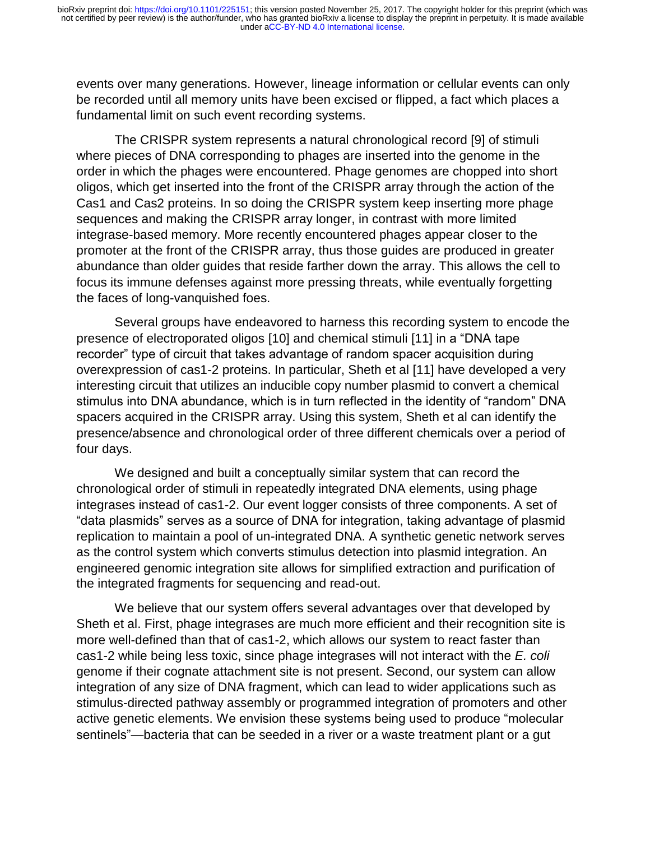events over many generations. However, lineage information or cellular events can only be recorded until all memory units have been excised or flipped, a fact which places a fundamental limit on such event recording systems.

The CRISPR system represents a natural chronological record [9] of stimuli where pieces of DNA corresponding to phages are inserted into the genome in the order in which the phages were encountered. Phage genomes are chopped into short oligos, which get inserted into the front of the CRISPR array through the action of the Cas1 and Cas2 proteins. In so doing the CRISPR system keep inserting more phage sequences and making the CRISPR array longer, in contrast with more limited integrase-based memory. More recently encountered phages appear closer to the promoter at the front of the CRISPR array, thus those guides are produced in greater abundance than older guides that reside farther down the array. This allows the cell to focus its immune defenses against more pressing threats, while eventually forgetting the faces of long-vanquished foes.

Several groups have endeavored to harness this recording system to encode the presence of electroporated oligos [10] and chemical stimuli [11] in a "DNA tape recorder" type of circuit that takes advantage of random spacer acquisition during overexpression of cas1-2 proteins. In particular, Sheth et al [11] have developed a very interesting circuit that utilizes an inducible copy number plasmid to convert a chemical stimulus into DNA abundance, which is in turn reflected in the identity of "random" DNA spacers acquired in the CRISPR array. Using this system, Sheth et al can identify the presence/absence and chronological order of three different chemicals over a period of four days.

We designed and built a conceptually similar system that can record the chronological order of stimuli in repeatedly integrated DNA elements, using phage integrases instead of cas1-2. Our event logger consists of three components. A set of "data plasmids" serves as a source of DNA for integration, taking advantage of plasmid replication to maintain a pool of un-integrated DNA. A synthetic genetic network serves as the control system which converts stimulus detection into plasmid integration. An engineered genomic integration site allows for simplified extraction and purification of the integrated fragments for sequencing and read-out.

We believe that our system offers several advantages over that developed by Sheth et al. First, phage integrases are much more efficient and their recognition site is more well-defined than that of cas1-2, which allows our system to react faster than cas1-2 while being less toxic, since phage integrases will not interact with the *E. coli* genome if their cognate attachment site is not present. Second, our system can allow integration of any size of DNA fragment, which can lead to wider applications such as stimulus-directed pathway assembly or programmed integration of promoters and other active genetic elements. We envision these systems being used to produce "molecular sentinels"—bacteria that can be seeded in a river or a waste treatment plant or a gut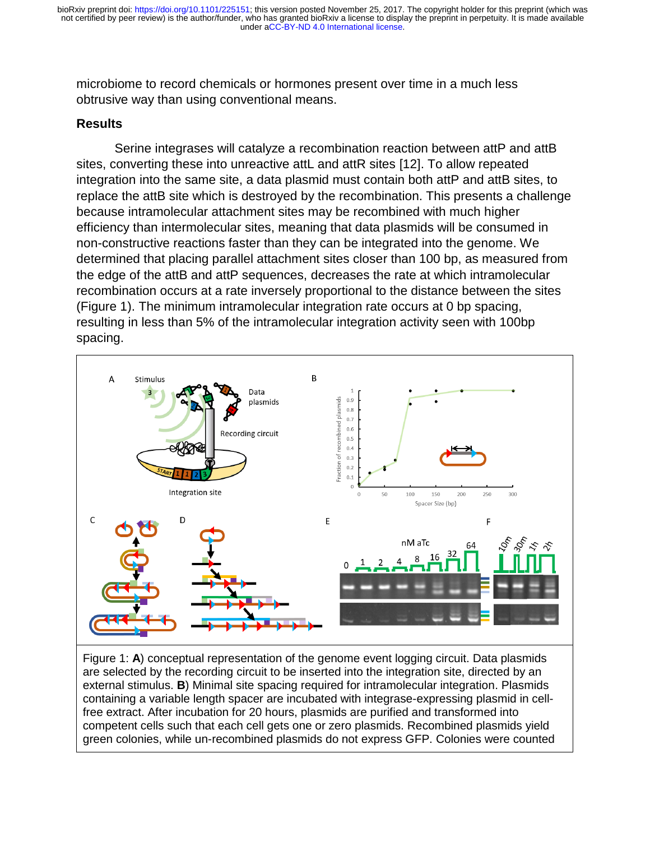microbiome to record chemicals or hormones present over time in a much less obtrusive way than using conventional means.

# **Results**

Serine integrases will catalyze a recombination reaction between attP and attB sites, converting these into unreactive attL and attR sites [12]. To allow repeated integration into the same site, a data plasmid must contain both attP and attB sites, to replace the attB site which is destroyed by the recombination. This presents a challenge because intramolecular attachment sites may be recombined with much higher efficiency than intermolecular sites, meaning that data plasmids will be consumed in non-constructive reactions faster than they can be integrated into the genome. We determined that placing parallel attachment sites closer than 100 bp, as measured from the edge of the attB and attP sequences, decreases the rate at which intramolecular recombination occurs at a rate inversely proportional to the distance between the sites (Figure 1). The minimum intramolecular integration rate occurs at 0 bp spacing, resulting in less than 5% of the intramolecular integration activity seen with 100bp spacing.



Figure 1: **A**) conceptual representation of the genome event logging circuit. Data plasmids are selected by the recording circuit to be inserted into the integration site, directed by an external stimulus. **B**) Minimal site spacing required for intramolecular integration. Plasmids containing a variable length spacer are incubated with integrase-expressing plasmid in cellfree extract. After incubation for 20 hours, plasmids are purified and transformed into competent cells such that each cell gets one or zero plasmids. Recombined plasmids yield green colonies, while un-recombined plasmids do not express GFP. Colonies were counted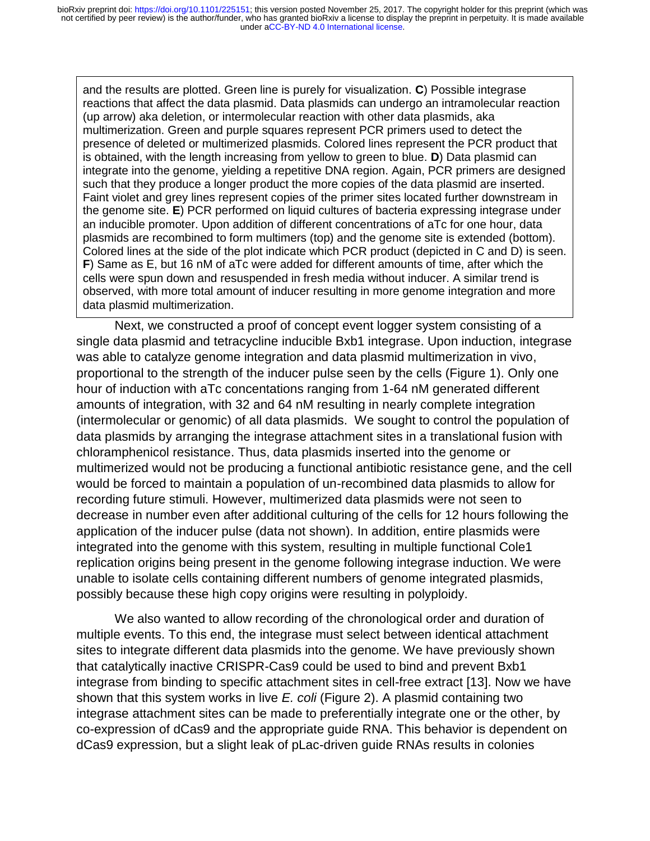and the results are plotted. Green line is purely for visualization. **C**) Possible integrase reactions that affect the data plasmid. Data plasmids can undergo an intramolecular reaction (up arrow) aka deletion, or intermolecular reaction with other data plasmids, aka multimerization. Green and purple squares represent PCR primers used to detect the presence of deleted or multimerized plasmids. Colored lines represent the PCR product that is obtained, with the length increasing from yellow to green to blue. **D**) Data plasmid can integrate into the genome, yielding a repetitive DNA region. Again, PCR primers are designed such that they produce a longer product the more copies of the data plasmid are inserted. Faint violet and grey lines represent copies of the primer sites located further downstream in the genome site. **E**) PCR performed on liquid cultures of bacteria expressing integrase under an inducible promoter. Upon addition of different concentrations of aTc for one hour, data plasmids are recombined to form multimers (top) and the genome site is extended (bottom). Colored lines at the side of the plot indicate which PCR product (depicted in C and D) is seen. **F**) Same as E, but 16 nM of aTc were added for different amounts of time, after which the cells were spun down and resuspended in fresh media without inducer. A similar trend is observed, with more total amount of inducer resulting in more genome integration and more data plasmid multimerization.

Next, we constructed a proof of concept event logger system consisting of a single data plasmid and tetracycline inducible Bxb1 integrase. Upon induction, integrase was able to catalyze genome integration and data plasmid multimerization in vivo, proportional to the strength of the inducer pulse seen by the cells (Figure 1). Only one hour of induction with aTc concentations ranging from 1-64 nM generated different amounts of integration, with 32 and 64 nM resulting in nearly complete integration (intermolecular or genomic) of all data plasmids. We sought to control the population of data plasmids by arranging the integrase attachment sites in a translational fusion with chloramphenicol resistance. Thus, data plasmids inserted into the genome or multimerized would not be producing a functional antibiotic resistance gene, and the cell would be forced to maintain a population of un-recombined data plasmids to allow for recording future stimuli. However, multimerized data plasmids were not seen to decrease in number even after additional culturing of the cells for 12 hours following the application of the inducer pulse (data not shown). In addition, entire plasmids were integrated into the genome with this system, resulting in multiple functional Cole1 replication origins being present in the genome following integrase induction. We were unable to isolate cells containing different numbers of genome integrated plasmids, possibly because these high copy origins were resulting in polyploidy.

 We also wanted to allow recording of the chronological order and duration of multiple events. To this end, the integrase must select between identical attachment sites to integrate different data plasmids into the genome. We have previously shown that catalytically inactive CRISPR-Cas9 could be used to bind and prevent Bxb1 integrase from binding to specific attachment sites in cell-free extract [13]. Now we have shown that this system works in live *E. coli* (Figure 2). A plasmid containing two integrase attachment sites can be made to preferentially integrate one or the other, by co-expression of dCas9 and the appropriate guide RNA. This behavior is dependent on dCas9 expression, but a slight leak of pLac-driven guide RNAs results in colonies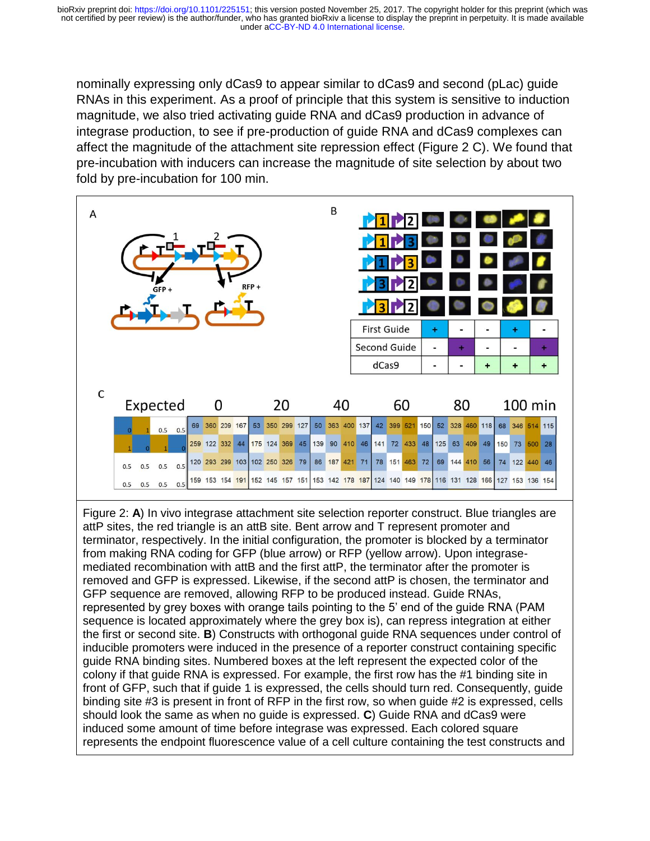nominally expressing only dCas9 to appear similar to dCas9 and second (pLac) guide RNAs in this experiment. As a proof of principle that this system is sensitive to induction magnitude, we also tried activating guide RNA and dCas9 production in advance of integrase production, to see if pre-production of guide RNA and dCas9 complexes can affect the magnitude of the attachment site repression effect (Figure 2 C). We found that pre-incubation with inducers can increase the magnitude of site selection by about two fold by pre-incubation for 100 min.

| Α |               |     | GFP+      |     |  |                                                                                                 |   |  | $RFP +$ |                |    |  |  | B                           |    |    | dCas9 | First Guide<br>Second Guide |  |             | ÷<br>۰<br>$\blacksquare$ | ۰ |               | +           |                | ÷<br>$\ddot{}$ |  | ÷<br>$\ddot{}$ |
|---|---------------|-----|-----------|-----|--|-------------------------------------------------------------------------------------------------|---|--|---------|----------------|----|--|--|-----------------------------|----|----|-------|-----------------------------|--|-------------|--------------------------|---|---------------|-------------|----------------|----------------|--|----------------|
|   | C<br>Expected |     |           |     |  |                                                                                                 | 0 |  |         |                | 20 |  |  |                             | 40 | 60 |       |                             |  |             | 80                       |   |               |             | <b>100 min</b> |                |  |                |
|   | $\Omega$      |     | 0.5       | 0.5 |  | 69 360 209 167                                                                                  |   |  |         | 53 350 299 127 |    |  |  | 50 363 400 137              |    |    | 42    |                             |  | 399 521 150 | 52                       |   |               | 328 460 118 |                | 68 346 514 115 |  |                |
|   |               |     |           |     |  | 259 122 332 44 175 124 369 45 139 90 410 46 141 72 433 48 125 63 409 49 150 73 500 28           |   |  |         |                |    |  |  |                             |    |    |       |                             |  |             |                          |   |               |             |                |                |  |                |
|   | 0.5           | 0.5 | $0.5$ 0.5 |     |  | 120 293 299 103 102 250 326 79                                                                  |   |  |         |                |    |  |  | 86 187 421 71 78 151 463 72 |    |    |       |                             |  |             |                          |   | 69 144 410 56 |             |                | 74 122 440 46  |  |                |
|   | 0.5           | 0.5 | 0.5       | 0.5 |  | 159 153 154 191 152 145 157 151 153 142 178 187 124 140 149 178 116 131 128 166 127 153 136 154 |   |  |         |                |    |  |  |                             |    |    |       |                             |  |             |                          |   |               |             |                |                |  |                |

Figure 2: **A**) In vivo integrase attachment site selection reporter construct. Blue triangles are attP sites, the red triangle is an attB site. Bent arrow and T represent promoter and terminator, respectively. In the initial configuration, the promoter is blocked by a terminator from making RNA coding for GFP (blue arrow) or RFP (yellow arrow). Upon integrasemediated recombination with attB and the first attP, the terminator after the promoter is removed and GFP is expressed. Likewise, if the second attP is chosen, the terminator and GFP sequence are removed, allowing RFP to be produced instead. Guide RNAs, represented by grey boxes with orange tails pointing to the 5' end of the guide RNA (PAM sequence is located approximately where the grey box is), can repress integration at either the first or second site. **B**) Constructs with orthogonal guide RNA sequences under control of inducible promoters were induced in the presence of a reporter construct containing specific guide RNA binding sites. Numbered boxes at the left represent the expected color of the colony if that guide RNA is expressed. For example, the first row has the #1 binding site in front of GFP, such that if guide 1 is expressed, the cells should turn red. Consequently, guide binding site #3 is present in front of RFP in the first row, so when guide #2 is expressed, cells should look the same as when no guide is expressed. **C**) Guide RNA and dCas9 were induced some amount of time before integrase was expressed. Each colored square represents the endpoint fluorescence value of a cell culture containing the test constructs and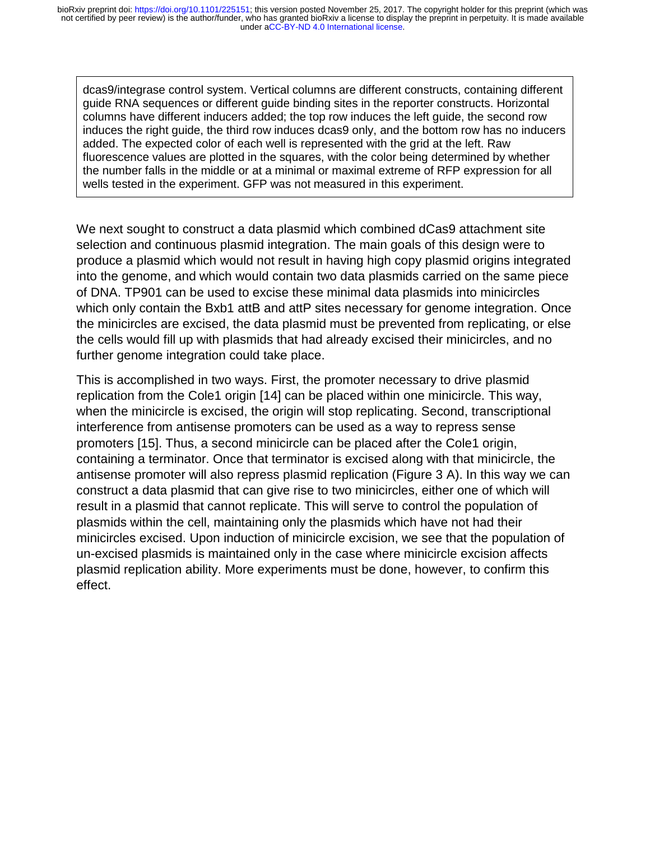dcas9/integrase control system. Vertical columns are different constructs, containing different guide RNA sequences or different guide binding sites in the reporter constructs. Horizontal columns have different inducers added; the top row induces the left guide, the second row induces the right guide, the third row induces dcas9 only, and the bottom row has no inducers added. The expected color of each well is represented with the grid at the left. Raw fluorescence values are plotted in the squares, with the color being determined by whether the number falls in the middle or at a minimal or maximal extreme of RFP expression for all wells tested in the experiment. GFP was not measured in this experiment.

We next sought to construct a data plasmid which combined dCas9 attachment site selection and continuous plasmid integration. The main goals of this design were to produce a plasmid which would not result in having high copy plasmid origins integrated into the genome, and which would contain two data plasmids carried on the same piece of DNA. TP901 can be used to excise these minimal data plasmids into minicircles which only contain the Bxb1 attB and attP sites necessary for genome integration. Once the minicircles are excised, the data plasmid must be prevented from replicating, or else the cells would fill up with plasmids that had already excised their minicircles, and no further genome integration could take place.

This is accomplished in two ways. First, the promoter necessary to drive plasmid replication from the Cole1 origin [14] can be placed within one minicircle. This way, when the minicircle is excised, the origin will stop replicating. Second, transcriptional interference from antisense promoters can be used as a way to repress sense promoters [15]. Thus, a second minicircle can be placed after the Cole1 origin, containing a terminator. Once that terminator is excised along with that minicircle, the antisense promoter will also repress plasmid replication (Figure 3 A). In this way we can construct a data plasmid that can give rise to two minicircles, either one of which will result in a plasmid that cannot replicate. This will serve to control the population of plasmids within the cell, maintaining only the plasmids which have not had their minicircles excised. Upon induction of minicircle excision, we see that the population of un-excised plasmids is maintained only in the case where minicircle excision affects plasmid replication ability. More experiments must be done, however, to confirm this effect.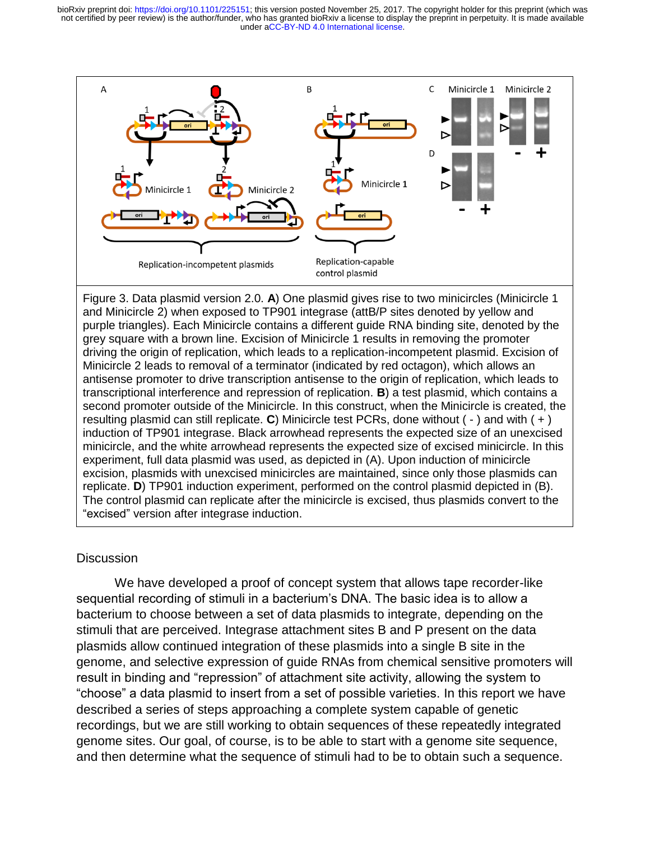under [aCC-BY-ND 4.0 International license.](http://creativecommons.org/licenses/by-nd/4.0/) not certified by peer review) is the author/funder, who has granted bioRxiv a license to display the preprint in perpetuity. It is made available bioRxiv preprint doi: [https://doi.org/10.1101/225151;](https://doi.org/10.1101/225151) this version posted November 25, 2017. The copyright holder for this preprint (which was



Figure 3. Data plasmid version 2.0. **A**) One plasmid gives rise to two minicircles (Minicircle 1 and Minicircle 2) when exposed to TP901 integrase (attB/P sites denoted by yellow and purple triangles). Each Minicircle contains a different guide RNA binding site, denoted by the grey square with a brown line. Excision of Minicircle 1 results in removing the promoter driving the origin of replication, which leads to a replication-incompetent plasmid. Excision of Minicircle 2 leads to removal of a terminator (indicated by red octagon), which allows an antisense promoter to drive transcription antisense to the origin of replication, which leads to transcriptional interference and repression of replication. **B**) a test plasmid, which contains a second promoter outside of the Minicircle. In this construct, when the Minicircle is created, the resulting plasmid can still replicate. **C**) Minicircle test PCRs, done without ( - ) and with ( + ) induction of TP901 integrase. Black arrowhead represents the expected size of an unexcised minicircle, and the white arrowhead represents the expected size of excised minicircle. In this experiment, full data plasmid was used, as depicted in (A). Upon induction of minicircle excision, plasmids with unexcised minicircles are maintained, since only those plasmids can replicate. **D**) TP901 induction experiment, performed on the control plasmid depicted in (B). The control plasmid can replicate after the minicircle is excised, thus plasmids convert to the "excised" version after integrase induction.

# **Discussion**

 We have developed a proof of concept system that allows tape recorder-like sequential recording of stimuli in a bacterium's DNA. The basic idea is to allow a bacterium to choose between a set of data plasmids to integrate, depending on the stimuli that are perceived. Integrase attachment sites B and P present on the data plasmids allow continued integration of these plasmids into a single B site in the genome, and selective expression of guide RNAs from chemical sensitive promoters will result in binding and "repression" of attachment site activity, allowing the system to "choose" a data plasmid to insert from a set of possible varieties. In this report we have described a series of steps approaching a complete system capable of genetic recordings, but we are still working to obtain sequences of these repeatedly integrated genome sites. Our goal, of course, is to be able to start with a genome site sequence, and then determine what the sequence of stimuli had to be to obtain such a sequence.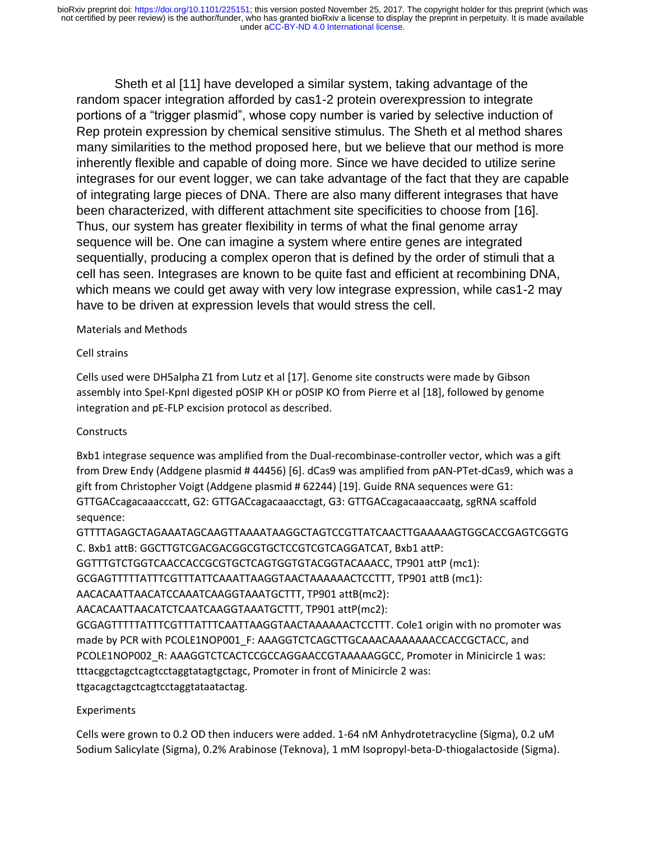Sheth et al [11] have developed a similar system, taking advantage of the random spacer integration afforded by cas1-2 protein overexpression to integrate portions of a "trigger plasmid", whose copy number is varied by selective induction of Rep protein expression by chemical sensitive stimulus. The Sheth et al method shares many similarities to the method proposed here, but we believe that our method is more inherently flexible and capable of doing more. Since we have decided to utilize serine integrases for our event logger, we can take advantage of the fact that they are capable of integrating large pieces of DNA. There are also many different integrases that have been characterized, with different attachment site specificities to choose from [16]. Thus, our system has greater flexibility in terms of what the final genome array sequence will be. One can imagine a system where entire genes are integrated sequentially, producing a complex operon that is defined by the order of stimuli that a cell has seen. Integrases are known to be quite fast and efficient at recombining DNA, which means we could get away with very low integrase expression, while cas1-2 may have to be driven at expression levels that would stress the cell.

### Materials and Methods

### Cell strains

Cells used were DH5alpha Z1 from Lutz et al [17]. Genome site constructs were made by Gibson assembly into SpeI-KpnI digested pOSIP KH or pOSIP KO from Pierre et al [18], followed by genome integration and pE-FLP excision protocol as described.

# **Constructs**

Bxb1 integrase sequence was amplified from the Dual-recombinase-controller vector, which was a gift from Drew Endy (Addgene plasmid # 44456) [6]. dCas9 was amplified from pAN-PTet-dCas9, which was a gift from Christopher Voigt (Addgene plasmid # 62244) [19]. Guide RNA sequences were G1: GTTGACcagacaaacccatt, G2: GTTGACcagacaaacctagt, G3: GTTGACcagacaaaccaatg, sgRNA scaffold sequence:

GTTTTAGAGCTAGAAATAGCAAGTTAAAATAAGGCTAGTCCGTTATCAACTTGAAAAAGTGGCACCGAGTCGGTG C. Bxb1 attB: GGCTTGTCGACGACGGCGTGCTCCGTCGTCAGGATCAT, Bxb1 attP: GGTTTGTCTGGTCAACCACCGCGTGCTCAGTGGTGTACGGTACAAACC, TP901 attP (mc1): GCGAGTTTTTATTTCGTTTATTCAAATTAAGGTAACTAAAAAACTCCTTT, TP901 attB (mc1): AACACAATTAACATCCAAATCAAGGTAAATGCTTT, TP901 attB(mc2): AACACAATTAACATCTCAATCAAGGTAAATGCTTT, TP901 attP(mc2): GCGAGTTTTTATTTCGTTTATTTCAATTAAGGTAACTAAAAAACTCCTTT. Cole1 origin with no promoter was made by PCR with PCOLE1NOP001\_F: AAAGGTCTCAGCTTGCAAACAAAAAAACCACCGCTACC, and PCOLE1NOP002\_R: AAAGGTCTCACTCCGCCAGGAACCGTAAAAAGGCC, Promoter in Minicircle 1 was: tttacggctagctcagtcctaggtatagtgctagc, Promoter in front of Minicircle 2 was: ttgacagctagctcagtcctaggtataatactag.

# Experiments

Cells were grown to 0.2 OD then inducers were added. 1-64 nM Anhydrotetracycline (Sigma), 0.2 uM Sodium Salicylate (Sigma), 0.2% Arabinose (Teknova), 1 mM Isopropyl-beta-D-thiogalactoside (Sigma).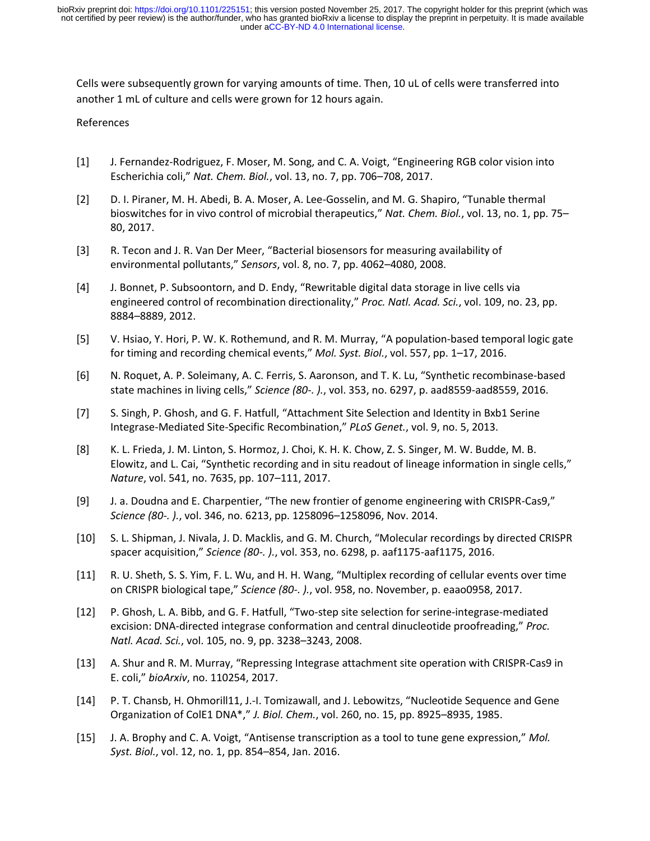Cells were subsequently grown for varying amounts of time. Then, 10 uL of cells were transferred into another 1 mL of culture and cells were grown for 12 hours again.

#### References

- [1] J. Fernandez-Rodriguez, F. Moser, M. Song, and C. A. Voigt, "Engineering RGB color vision into Escherichia coli," *Nat. Chem. Biol.*, vol. 13, no. 7, pp. 706–708, 2017.
- [2] D. I. Piraner, M. H. Abedi, B. A. Moser, A. Lee-Gosselin, and M. G. Shapiro, "Tunable thermal bioswitches for in vivo control of microbial therapeutics," *Nat. Chem. Biol.*, vol. 13, no. 1, pp. 75– 80, 2017.
- [3] R. Tecon and J. R. Van Der Meer, "Bacterial biosensors for measuring availability of environmental pollutants," *Sensors*, vol. 8, no. 7, pp. 4062–4080, 2008.
- [4] J. Bonnet, P. Subsoontorn, and D. Endy, "Rewritable digital data storage in live cells via engineered control of recombination directionality," *Proc. Natl. Acad. Sci.*, vol. 109, no. 23, pp. 8884–8889, 2012.
- [5] V. Hsiao, Y. Hori, P. W. K. Rothemund, and R. M. Murray, "A population-based temporal logic gate for timing and recording chemical events," *Mol. Syst. Biol.*, vol. 557, pp. 1–17, 2016.
- [6] N. Roquet, A. P. Soleimany, A. C. Ferris, S. Aaronson, and T. K. Lu, "Synthetic recombinase-based state machines in living cells," *Science (80-. ).*, vol. 353, no. 6297, p. aad8559-aad8559, 2016.
- [7] S. Singh, P. Ghosh, and G. F. Hatfull, "Attachment Site Selection and Identity in Bxb1 Serine Integrase-Mediated Site-Specific Recombination," *PLoS Genet.*, vol. 9, no. 5, 2013.
- [8] K. L. Frieda, J. M. Linton, S. Hormoz, J. Choi, K. H. K. Chow, Z. S. Singer, M. W. Budde, M. B. Elowitz, and L. Cai, "Synthetic recording and in situ readout of lineage information in single cells," *Nature*, vol. 541, no. 7635, pp. 107–111, 2017.
- [9] J. a. Doudna and E. Charpentier, "The new frontier of genome engineering with CRISPR-Cas9," *Science (80-. ).*, vol. 346, no. 6213, pp. 1258096–1258096, Nov. 2014.
- [10] S. L. Shipman, J. Nivala, J. D. Macklis, and G. M. Church, "Molecular recordings by directed CRISPR spacer acquisition," *Science (80-. ).*, vol. 353, no. 6298, p. aaf1175-aaf1175, 2016.
- [11] R. U. Sheth, S. S. Yim, F. L. Wu, and H. H. Wang, "Multiplex recording of cellular events over time on CRISPR biological tape," *Science (80-. ).*, vol. 958, no. November, p. eaao0958, 2017.
- [12] P. Ghosh, L. A. Bibb, and G. F. Hatfull, "Two-step site selection for serine-integrase-mediated excision: DNA-directed integrase conformation and central dinucleotide proofreading," *Proc. Natl. Acad. Sci.*, vol. 105, no. 9, pp. 3238–3243, 2008.
- [13] A. Shur and R. M. Murray, "Repressing Integrase attachment site operation with CRISPR-Cas9 in E. coli," *bioArxiv*, no. 110254, 2017.
- [14] P. T. Chansb, H. Ohmorill11, J.-I. Tomizawall, and J. Lebowitzs, "Nucleotide Sequence and Gene Organization of ColE1 DNA\*," *J. Biol. Chem.*, vol. 260, no. 15, pp. 8925–8935, 1985.
- [15] J. A. Brophy and C. A. Voigt, "Antisense transcription as a tool to tune gene expression," *Mol. Syst. Biol.*, vol. 12, no. 1, pp. 854–854, Jan. 2016.